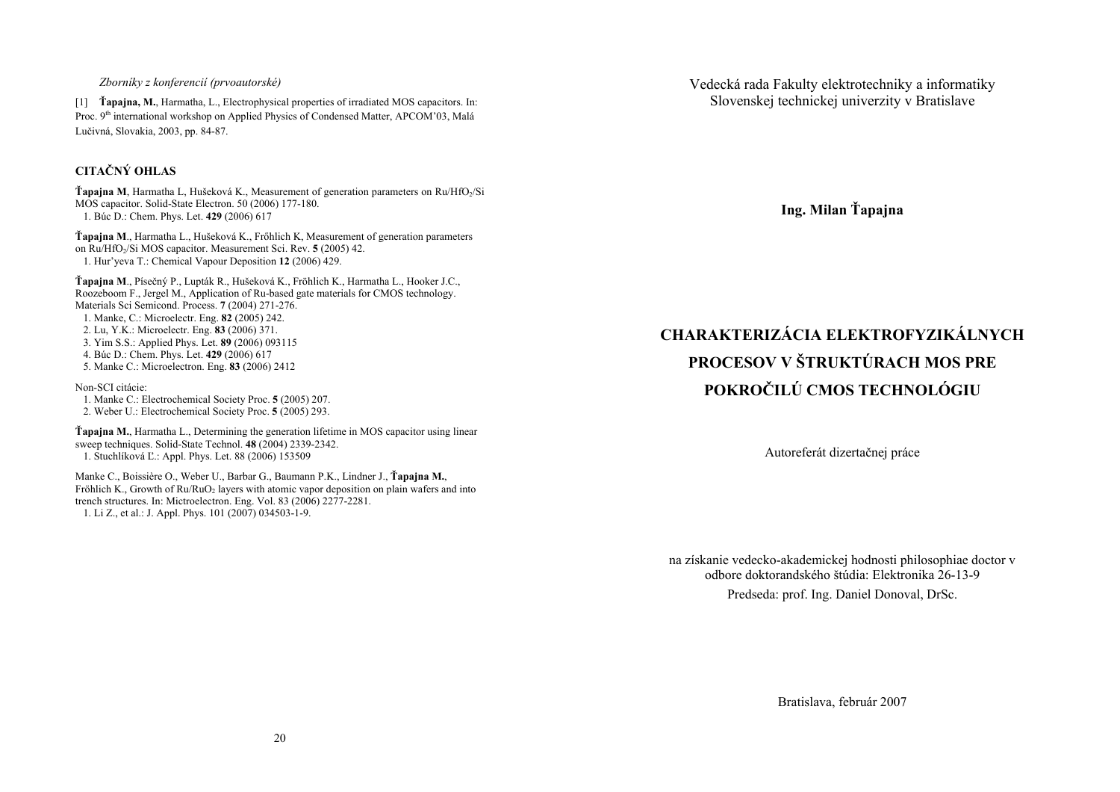*Zborníky z konferencií (prvoautorské)* 

[1] **Ťapajna, M.**, Harmatha, L., Electrophysical properties of irradiated MOS capacitors. In: Proc. 9<sup>th</sup> international workshop on Applied Physics of Condensed Matter, APCOM'03, Malá Lučivná, Slovakia, 2003, pp. 84-87.

# **CITAČNÝ OHLAS**

**Ťapajna M**, Harmatha L, Hušeková K., Measurement of generation parameters on Ru/HfO2/Si MOS capacitor. Solid-State Electron. 50 (2006) 177-180. 1. Búc D.: Chem. Phys. Let. **429** (2006) 617

**Ťapajna <sup>M</sup>**., Harmatha L., Hušeková K., Frőhlich K, Measurement of generation parameters on Ru/HfO2/Si MOS capacitor. Measurement Sci. Rev. **5** (2005) 42. 1. Hur'yeva T.: Chemical Vapour Deposition **12** (2006) 429.

**Ťapajna <sup>M</sup>**., Písečný P., Lupták R., Hušeková K., Fröhlich K., Harmatha L., Hooker J.C., Roozeboom F., Jergel M., Application of Ru-based gate materials for CMOS technology. Materials Sci Semicond. Process. **7** (2004) 271-276. 1. Manke, C.: Microelectr. Eng. **82** (2005) 242. 2. Lu, Y.K.: Microelectr. Eng. **83** (2006) 371. 3. Yim S.S.: Applied Phys. Let. **89** (2006) 093115 4. Búc D.: Chem. Phys. Let. **429** (2006) 617 5. Manke C.: Microelectron. Eng. **83** (2006) 2412

Non-SCI citácie:

 1. Manke C.: Electrochemical Society Proc. **5** (2005) 207. 2. Weber U.: Electrochemical Society Proc. **5** (2005) 293.

**Ťapajna M.**, Harmatha L., Determining the generation lifetime in MOS capacitor using linear sweep techniques. Solid-State Technol. **48** (2004) 2339-2342. 1. Stuchlíková Ľ.: Appl. Phys. Let. 88 (2006) 153509

Manke C., Boissière O., Weber U., Barbar G., Baumann P.K., Lindner J., **Ťapajna M.**, Fröhlich K., Growth of Ru/RuO<sub>2</sub> layers with atomic vapor deposition on plain wafers and into trench structures. In: Mictroelectron. Eng. Vol. 83 (2006) 2277-2281. 1. Li Z., et al.: J. Appl. Phys. 101 (2007) 034503-1-9.

Vedecká rada Fakulty elektrotechniky a informatiky Slovenskej technickej univerzity v Bratislave

**Ing. Milan Ťapajna** 

**CHARAKTERIZÁCIA ELEKTROFYZIKÁLNYCH PROCESOV V ŠTRUKTÚRACH MOS PRE POKROČILÚ CMOS TECHNOLÓGIU** 

Autoreferát dizertačnej práce

na získanie vedecko-akademickej hodnosti philosophiae doctor v odbore doktorandského štúdia: Elektronika 26-13-9 Predseda: prof. Ing. Daniel Donoval, DrSc.

Bratislava, február 2007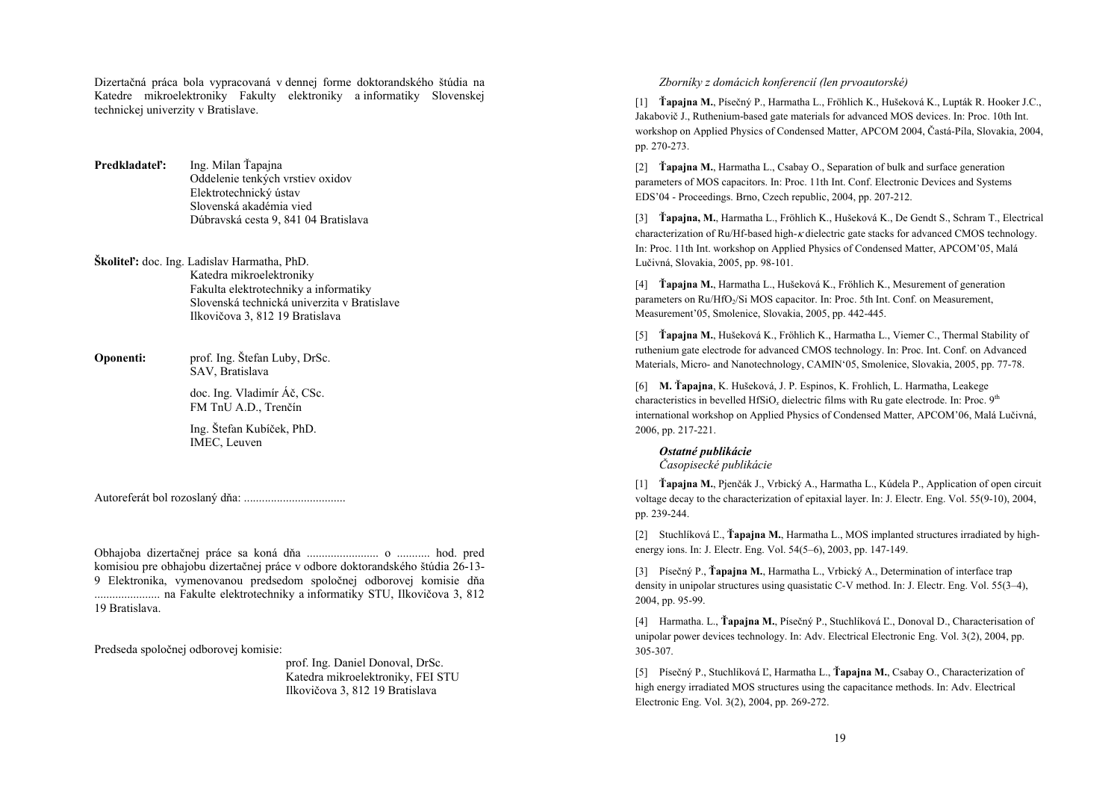Dizertačná práca bola vypracovaná v dennej forme doktorandského štúdia na Katedre mikroelektroniky Fakulty elektroniky a informatiky Slovenskej technickej univerzity v Bratislave.

 $P$ redkladateľ**<sup>\*</sup>** Ing. Milan Ťapaina Oddelenie tenkých vrstiev oxidov Elektrotechnický ústav Slovenská akadémia vied Dúbravská cesta 9, 841 04 Bratislava

**Školiteľ:** doc. Ing. Ladislav Harmatha, PhD. Katedra mikroelektroniky Fakulta elektrotechniky a informatiky Slovenská technická univerzita v Bratislave Ilkovičova 3, 812 19 Bratislava

**Oponenti:** prof. Ing. Štefan Luby, DrSc. SAV, Bratislava

 doc. Ing. Vladimír Á<sup>č</sup>, CSc. FM TnU A.D., Trenčín

 Ing. Štefan Kubíček, PhD. IMEC, Leuven

Autoreferát bol rozoslaný dňa: ..................................

Obhajoba dizertačnej práce sa koná dňa ........................ o ........... hod. pred komisiou pre obhajobu dizertačnej práce v odbore doktorandského štúdia 26-13- 9 Elektronika, vymenovanou predsedom spoločnej odborovej komisie dň<sup>a</sup> ...................... na Fakulte elektrotechniky a informatiky STU, Ilkovičova 3, 812 19 Bratislava.

Predseda spoločnej odborovej komisie:

 prof. Ing. Daniel Donoval, DrSc. Katedra mikroelektroniky, FEI STU Ilkovičova 3, 812 19 Bratislava

### *Zborníky z domácich konferencií (len prvoautorské)*

[1] **Ťapajna M.**, Písečný P., Harmatha L., Fröhlich K., Hušeková K., Lupták R. Hooker J.C., Jakabovič J., Ruthenium-based gate materials for advanced MOS devices. In: Proc. 10th Int. workshop on Applied Physics of Condensed Matter, APCOM 2004, Častá-Píla, Slovakia, 2004, pp. 270-273.

[2] **Ťapajna M.**, Harmatha L., Csabay O., Separation of bulk and surface generation parameters of MOS capacitors. In: Proc. 11th Int. Conf. Electronic Devices and Systems EDS'04 - Proceedings. Brno, Czech republic, 2004, pp. 207-212.

[3] **Ťapajna, M.**, Harmatha L., Fröhlich K., Hušeková K., De Gendt S., Schram T., Electrical characterization of Ru/Hf-based high- $\kappa$  dielectric gate stacks for advanced CMOS technology. In: Proc. 11th Int. workshop on Applied Physics of Condensed Matter, APCOM'05, Malá Lučivná, Slovakia, 2005, pp. 98-101.

[4] **Ťapajna M.**, Harmatha L., Hušeková K., Fröhlich K., Mesurement of generation parameters on Ru/HfO<sub>2</sub>/Si MOS capacitor. In: Proc. 5th Int. Conf. on Measurement, Measurement'05, Smolenice, Slovakia, 2005, pp. 442-445.

[5] **Ťapajna M.**, Hušeková K., Fröhlich K., Harmatha L., Viemer C., Thermal Stability of ruthenium gate electrode for advanced CMOS technology. In: Proc. Int. Conf. on Advanced Materials, Micro- and Nanotechnology, CAMIN'05, Smolenice, Slovakia, 2005, pp. 77-78.

[6] **M. Ťapajna**, K. Hušeková, J. P. Espinos, K. Frohlich, L. Harmatha, Leakege characteristics in bevelled HfSiO*x* dielectric films with Ru gate electrode. In: Proc. 9th international workshop on Applied Physics of Condensed Matter, APCOM'06, Malá Lučivná, 2006, pp. 217-221.

#### *Ostatné publikácie*

*Časopisecké publikácie* 

[1] **Ťapajna M.**, Pjenčák J., Vrbický A., Harmatha L., Kúdela P., Application of open circuit voltage decay to the characterization of epitaxial layer. In: J. Electr. Eng. Vol. 55(9-10), 2004, pp. 239-244.

[2] Stuchlíková <sup>Ľ</sup>., **Ťapajna M.**, Harmatha L., MOS implanted structures irradiated by highenergy ions. In: J. Electr. Eng. Vol. 54(5–6), 2003, pp. 147-149.

[3] Písečný P., **Ťapajna M.**, Harmatha L., Vrbický A., Determination of interface trap density in unipolar structures using quasistatic C-V method. In: J. Electr. Eng. Vol. 55(3–4), 2004, pp. 95-99.

[4] Harmatha. L., **Ťapajna M.**, Písečný P., Stuchlíková Ľ., Donoval D., Characterisation of unipolar power devices technology. In: Adv. Electrical Electronic Eng. Vol. 3(2), 2004, pp. 305-307.

[5] Písečný P., Stuchlíková Ľ, Harmatha L., **Ťapajna M.**, Csabay O., Characterization of high energy irradiated MOS structures using the capacitance methods. In: Adv. Electrical Electronic Eng. Vol. 3(2), 2004, pp. 269-272.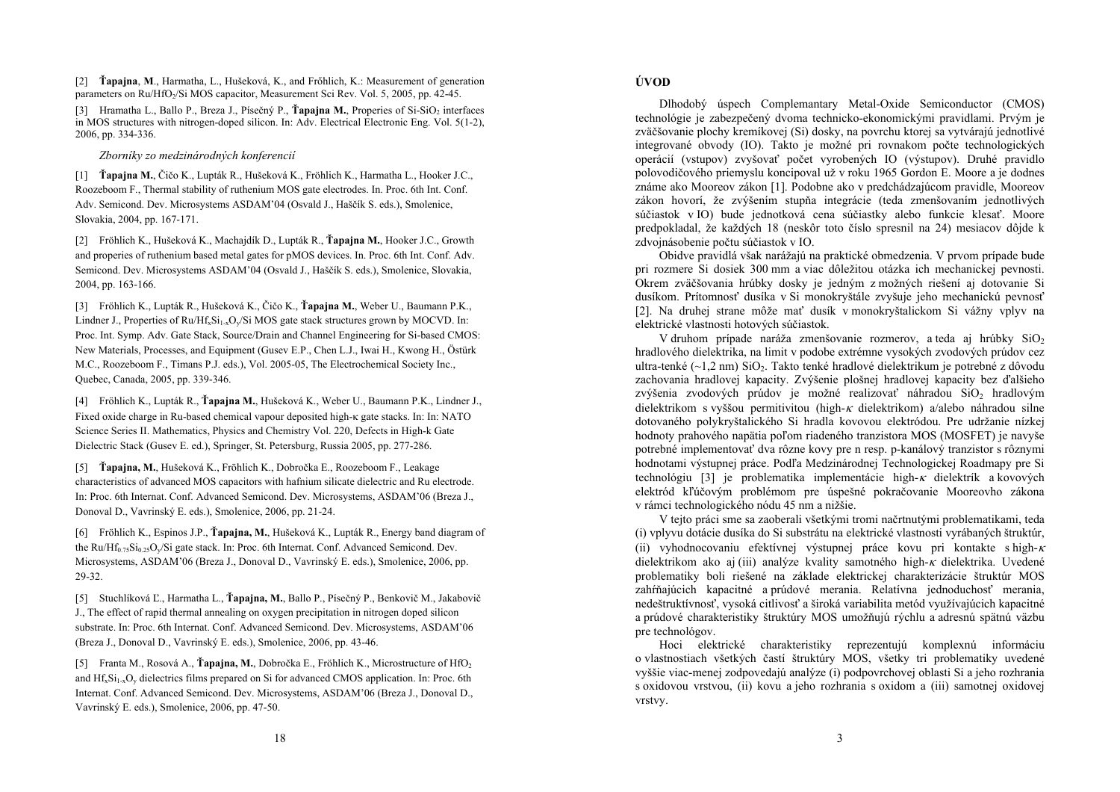[2] **Ťapajna**, **M**., Harmatha, L., Hušeková, K., and Frőhlich, K.: Measurement of generation parameters on Ru/HfO<sub>2</sub>/Si MOS capacitor, Measurement Sci Rev. Vol. 5, 2005, pp. 42-45.

[3] Hramatha L., Ballo P., Breza J., Písečný P., **Ťapajna M.**, Properies of Si-SiO<sub>2</sub> interfaces in MOS structures with nitrogen-doped silicon. In: Adv. Electrical Electronic Eng. Vol. 5(1-2), 2006, pp. 334-336.

*Zborníky zo medzinárodných konferencií* 

[1] **Ťapajna M.**, Čičo K., Lupták R., Hušeková K., Fröhlich K., Harmatha L., Hooker J.C., Roozeboom F., Thermal stability of ruthenium MOS gate electrodes. In. Proc. 6th Int. Conf. Adv. Semicond. Dev. Microsystems ASDAM'04 (Osvald J., Haščík S. eds.), Smolenice, Slovakia, 2004, pp. 167-171.

[2] Fröhlich K., Hušeková K., Machajdík D., Lupták R., **Ťapajna M.**, Hooker J.C., Growth and properies of ruthenium based metal gates for pMOS devices. In. Proc. 6th Int. Conf. Adv. Semicond. Dev. Microsystems ASDAM'04 (Osvald J., Haščík S. eds.), Smolenice, Slovakia, 2004, pp. 163-166.

[3] Fröhlich K., Lupták R., Hušeková K., Čičo K., **Ťapajna M.**, Weber U., Baumann P.K., Lindner J., Properties of  $Ru/Hf_xSi_{1-x}O_y/Si$  MOS gate stack structures grown by MOCVD. In: Proc. Int. Symp. Adv. Gate Stack, Source/Drain and Channel Engineering for Si-based CMOS: New Materials, Processes, and Equipment (Gusev E.P., Chen L.J., Iwai H., Kwong H., Östürk M.C., Roozeboom F., Timans P.J. eds.), Vol. 2005-05, The Electrochemical Society Inc., Quebec, Canada, 2005, pp. 339-346.

[4] Fröhlich K., Lupták R., **Ťapajna M.**, Hušeková K., Weber U., Baumann P.K., Lindner J., Fixed oxide charge in Ru-based chemical vapour deposited high-<sup>κ</sup> gate stacks. In: In: NATO Science Series II. Mathematics, Physics and Chemistry Vol. 220, Defects in High-k Gate Dielectric Stack (Gusev E. ed.), Springer, St. Petersburg, Russia 2005, pp. 277-286.

[5] **Ťapajna, M.**, Hušeková K., Fröhlich K., Dobročka E., Roozeboom F., Leakage characteristics of advanced MOS capacitors with hafnium silicate dielectric and Ru electrode. In: Proc. 6th Internat. Conf. Advanced Semicond. Dev. Microsystems, ASDAM'06 (Breza J., Donoval D., Vavrinský E. eds.), Smolenice, 2006, pp. 21-24.

[6] Fröhlich K., Espinos J.P., **Ťapajna, M.**, Hušeková K., Lupták R., Energy band diagram of the Ru/Hf<sub>0.75</sub>Si<sub>0.25</sub>O<sub>y</sub>/Si gate stack. In: Proc. 6th Internat. Conf. Advanced Semicond. Dev. Microsystems, ASDAM'06 (Breza J., Donoval D., Vavrinský E. eds.), Smolenice, 2006, pp. 29-32.

[5] Stuchlíková Ľ., Harmatha L., **Ťapajna, M.**, Ballo P., Písečný P., Benkovič M., Jakabovi<sup>č</sup> J., The effect of rapid thermal annealing on oxygen precipitation in nitrogen doped silicon substrate. In: Proc. 6th Internat. Conf. Advanced Semicond. Dev. Microsystems, ASDAM'06 (Breza J., Donoval D., Vavrinský E. eds.), Smolenice, 2006, pp. 43-46.

[5] Franta M., Rosová A., **Ťapajna, M.**, Dobročka E., Fröhlich K., Microstructure of HfO<sub>2</sub> and  $H_{x}^{f}S_{1,x}O_{y}$  dielectrics films prepared on Si for advanced CMOS application. In: Proc. 6th Internat. Conf. Advanced Semicond. Dev. Microsystems, ASDAM'06 (Breza J., Donoval D., Vavrinský E. eds.), Smolenice, 2006, pp. 47-50.

## **ÚVOD**

Dlhodobý úspech Complemantary Metal-Oxide Semiconductor (CMOS) technológie je zabezpečený dvoma technicko-ekonomickými pravidlami. Prvým je zväčšovanie plochy kremíkovej (Si) dosky, na povrchu ktorej sa vytvárajú jednotlivé integrované obvody (IO). Takto je možné pri rovnakom počte technologických operácií (vstupov) zvyšovať počet vyrobených IO (výstupov). Druhé pravidlo polovodičového priemyslu koncipoval už v roku 1965 Gordon E. Moore a je dodnes známe ako Mooreov zákon [1]. Podobne ako v predchádzajúcom pravidle, Mooreov zákon hovorí, že zvýšením stupňa integrácie (teda zmenšovaním jednotlivých súčiastok v IO) bude jednotková cena súčiastky alebo funkcie klesať. Moore predpokladal, že každých 18 (neskôr toto číslo spresnil na 24) mesiacov dôjde k zdvojnásobenie počtu súčiastok v IO.

Obidve pravidlá však narážajú na praktické obmedzenia. V prvom prípade bude pri rozmere Si dosiek 300 mm a viac dôležitou otázka ich mechanickej pevnosti. Okrem zväčšovania hrúbky dosky je jedným z možných riešení aj dotovanie Si dusíkom. Prítomnosť dusíka v Si monokryštále zvyšuje jeho mechanickú pevnosť [2]. Na druhej strane môže mať dusík v monokryštalickom Si vážny vplyv na elektrické vlastnosti hotových súčiastok.

V druhom prípade naráža zmenšovanie rozmerov, a teda aj hrúbky  $SiO<sub>2</sub>$  hradlového dielektrika, na limit v podobe extrémne vysokých zvodových prúdov cez ultra-tenké  $(-1.2 \text{ nm})$  SiO<sub>2</sub>. Takto tenké hradlové dielektrikum je potrebné z dôvodu zachovania hradlovej kapacity. Zvýšenie plošnej hradlovej kapacity bez ďalšieho zvýšenia zvodových prúdov je možné realizovať náhradou SiO<sub>2</sub> hradlovým dielektrikom s vyššou permitivitou (high- $\kappa$  dielektrikom) a/alebo náhradou silne dotovaného polykryštalického Si hradla kovovou elektródou. Pre udržanie nízkej hodnoty prahového napätia poľom riadeného tranzistora MOS (MOSFET) je navyše potrebné implementovať dva rôzne kovy pre n resp. p-kanálový tranzistor s rôznymi hodnotami výstupnej práce. Podľa Medzinárodnej Technologickej Roadmapy pre Si technológiu [3] je problematika implementácie high-<sup>κ</sup> dielektrík a kovových elektród kľúčovým problémom pre úspešné pokračovanie Mooreovho zákona v rámci technologického nódu 45 nm a nižšie.

V tejto práci sme sa zaoberali všetkými tromi načrtnutými problematikami, teda (i) vplyvu dotácie dusíka do Si substrátu na elektrické vlastnosti vyrábaných štruktúr, (ii) vyhodnocovaniu efektívnej výstupnej práce kovu pri kontakte s high- $\kappa$ dielektrikom ako aj (iii) analýze kvality samotného high-κ dielektrika. Uvedené problematiky boli riešené na základe elektrickej charakterizácie štruktúr MOS zahŕňajúcich kapacitné a prúdové merania. Relatívna jednoduchosť merania, nedeštruktívnosť, vysoká citlivosť a široká variabilita metód využívajúcich kapacitné a prúdové charakteristiky štruktúry MOS umožňujú rýchlu a adresnú spätnú väzbu pre technológov.

Hoci elektrické charakteristiky reprezentujú komplexnú informáciu o vlastnostiach všetkých častí štruktúry MOS, všetky tri problematiky uvedené vyššie viac-menej zodpovedajú analýze (i) podpovrchovej oblasti Si a jeho rozhrania s oxidovou vrstvou, (ii) kovu a jeho rozhrania s oxidom a (iii) samotnej oxidovej vrstvy.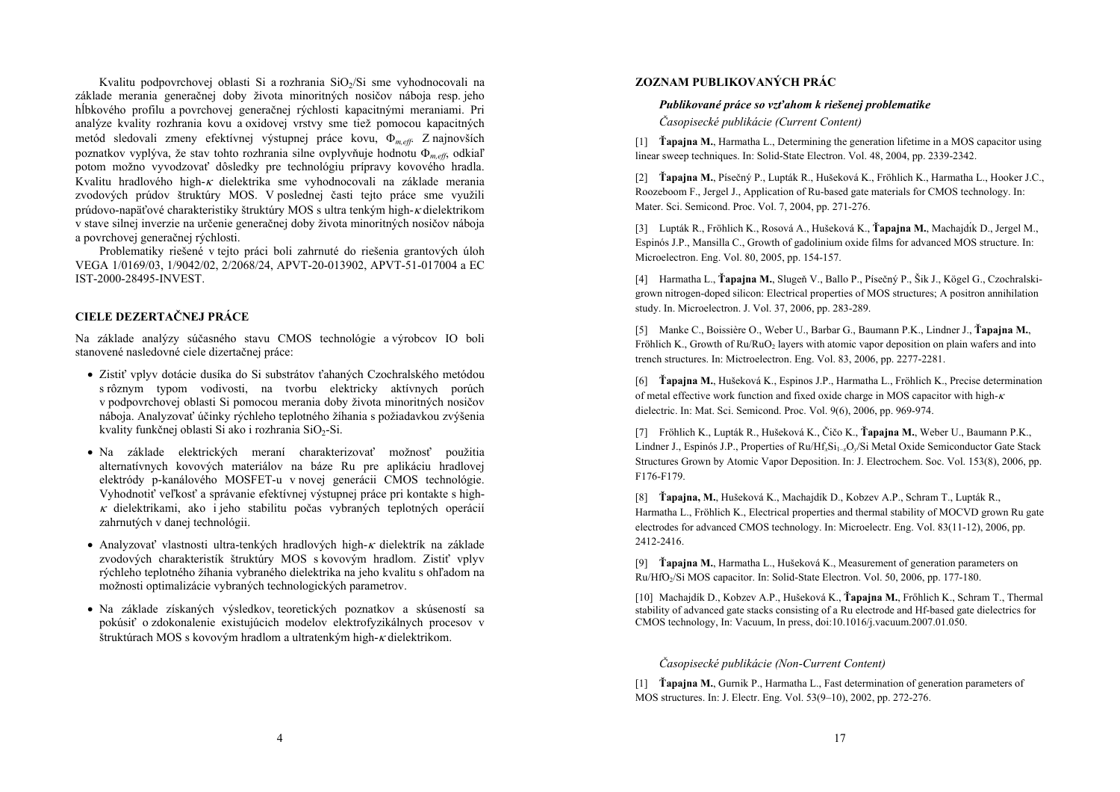Kvalitu podpovrchovej oblasti Si a rozhrania SiO<sub>2</sub>/Si sme vyhodnocovali na základe merania generačnej doby života minoritných nosičov náboja resp. jeho <sup>h</sup>ĺbkového profilu a povrchovej generačnej rýchlosti kapacitnými meraniami. Pri analýze kvality rozhrania kovu a oxidovej vrstvy sme tiež pomocou kapacitných metód sledovali zmeny efektívnej výstupnej práce kovu, <sup>Φ</sup>*m,eff*. Z najnovších poznatkov vyplýva, že stav tohto rozhrania silne ovplyvňuje hodnotu <sup>Φ</sup>*m,eff*, odkia<sup>ľ</sup> potom možno vyvodzovať dôsledky pre technológiu prípravy kovového hradla. Kvalitu hradlového high-<sup>κ</sup> dielektrika sme vyhodnocovali na základe merania zvodových prúdov štruktúry MOS. V poslednej časti tejto práce sme využili prúdovo-napäťové charakteristiky štruktúry MOS s ultra tenkým high-κ dielektrikom v stave silnej inverzie na určenie generačnej doby života minoritných nosičov náboja a povrchovej generačnej rýchlosti.

Problematiky riešené v tejto práci boli zahrnuté do riešenia grantových úloh VEGA 1/0169/03, 1/9042/02, 2/2068/24, APVT-20-013902, APVT-51-017004 a EC IST-2000-28495-INVEST.

### **CIELE DEZERTAČNEJ PRÁCE**

Na základe analýzy súčasného stavu CMOS technológie a výrobcov IO boli stanovené nasledovné ciele dizertačnej práce:

- Zistiť vplyv dotácie dusíka do Si substrátov ťahaných Czochralského metódou s rôznym typom vodivosti, na tvorbu elektricky aktívnych porúch v podpovrchovej oblasti Si pomocou merania doby života minoritných nosičov náboja. Analyzovať účinky rýchleho teplotného žíhania s požiadavkou zvýšenia kvality funkčnej oblasti Si ako i rozhrania SiO<sub>2</sub>-Si.
- Na základe elektrických meraní charakterizovať možnosť použitia alternatívnych kovových materiálov na báze Ru pre aplikáciu hradlovej elektródy p-kanálového MOSFET-u v novej generácii CMOS technológie. Vyhodnotiť veľkosť a správanie efektívnej výstupnej práce pri kontakte s high- $\kappa$  dielektrikami, ako i jeho stabilitu počas vybraných teplotných operácií zahrnutých v danej technológii.
- Analyzovať vlastnosti ultra-tenkých hradlových high- $\kappa$  dielektrík na základe zvodových charakteristík štruktúry MOS s kovovým hradlom. Zistiť vplyv rýchleho teplotného žíhania vybraného dielektrika na jeho kvalitu s ohľadom na možnosti optimalizácie vybraných technologických parametrov.
- Na základe získaných výsledkov, teoretických poznatkov a skúseností sa pokúsiť o zdokonalenie existujúcich modelov elektrofyzikálnych procesov v štruktúrach MOS s kovovým hradlom a ultratenkým high-κ dielektrikom.

## **ZOZNAM PUBLIKOVANÝCH PRÁC**

#### *Publikované práce so vz ťahom k riešenej problematike*

*Časopisecké publikácie (Current Content)* 

[1] **Ťapajna M.**, Harmatha L., Determining the generation lifetime in a MOS capacitor using linear sweep techniques. In: Solid-State Electron. Vol. 48, 2004, pp. 2339-2342.

[2] **Ťapajna M.**, Písečný P., Lupták R., Hušeková K., Fröhlich K., Harmatha L., Hooker J.C., Roozeboom F., Jergel J., Application of Ru-based gate materials for CMOS technology. In: Mater. Sci. Semicond. Proc. Vol. 7, 2004, pp. 271-276.

[3] Lupták R., Fröhlich K., Rosová A., Hušeková K., **Ťapajna M.**, Machajdı́k D., Jergel M., Espinós J.P., Mansilla C., Growth of gadolinium oxide films for advanced MOS structure. In: Microelectron. Eng. Vol. 80, 2005, pp. 154-157.

[4] Harmatha L., **Ťapajna M.**, Slugeň V., Ballo P., Písečný P., Šik J., Kögel G., Czochralskigrown nitrogen-doped silicon: Electrical properties of MOS structures; A positron annihilation study. In. Microelectron. J. Vol. 37, 2006, pp. 283-289.

[5] Manke C., Boissière O., Weber U., Barbar G., Baumann P.K., Lindner J., **Ťapajna M.**, Fröhlich K., Growth of  $Ru/RuO<sub>2</sub>$  layers with atomic vapor deposition on plain wafers and into trench structures. In: Mictroelectron. Eng. Vol. 83, 2006, pp. 2277-2281.

[6] **Ťapajna M.**, Hušeková K., Espinos J.P., Harmatha L., Fröhlich K., Precise determination of metal effective work function and fixed oxide charge in MOS capacitor with high- $\kappa$ dielectric. In: Mat. Sci. Semicond. Proc. Vol. 9(6), 2006, pp. 969-974.

[7] Fröhlich K., Lupták R., Hušeková K., Čičo K., **Ťapajna M.**, Weber U., Baumann P.K., Lindner J., Espinós J.P., Properties of Ru/Hf<sub>x</sub>Si<sub>1–x</sub>O<sub>*y*</sub>/Si Metal Oxide Semiconductor Gate Stack Structures Grown by Atomic Vapor Deposition. In: J. Electrochem. Soc. Vol. 153(8), 2006, pp. F176-F179.

[8] **Ťapajna, M.**, Hušeková K., Machajdík D., Kobzev A.P., Schram T., Lupták R., Harmatha L., Fröhlich K., Electrical properties and thermal stability of MOCVD grown Ru gate electrodes for advanced CMOS technology. In: Microelectr. Eng. Vol. 83(11-12), 2006, pp. 2412-2416.

[9] **Ťapajna M.**, Harmatha L., Hušeková K., Measurement of generation parameters on Ru/HfO<sub>2</sub>/Si MOS capacitor. In: Solid-State Electron. Vol. 50, 2006, pp. 177-180.

[10] Machajdík D., Kobzev A.P., Hušeková K., **Ťapajna M.**, Frőhlich K., Schram T., Thermal stability of advanced gate stacks consisting of a Ru electrode and Hf-based gate dielectrics for CMOS technology, In: Vacuum, In press, doi:10.1016/j.vacuum.2007.01.050.

## *Časopisecké publikácie (Non-Current Content)*

[1] **Ťapajna M.**, Gurnik P., Harmatha L., Fast determination of generation parameters of MOS structures. In: J. Electr. Eng. Vol. 53(9–10), 2002, pp. 272-276.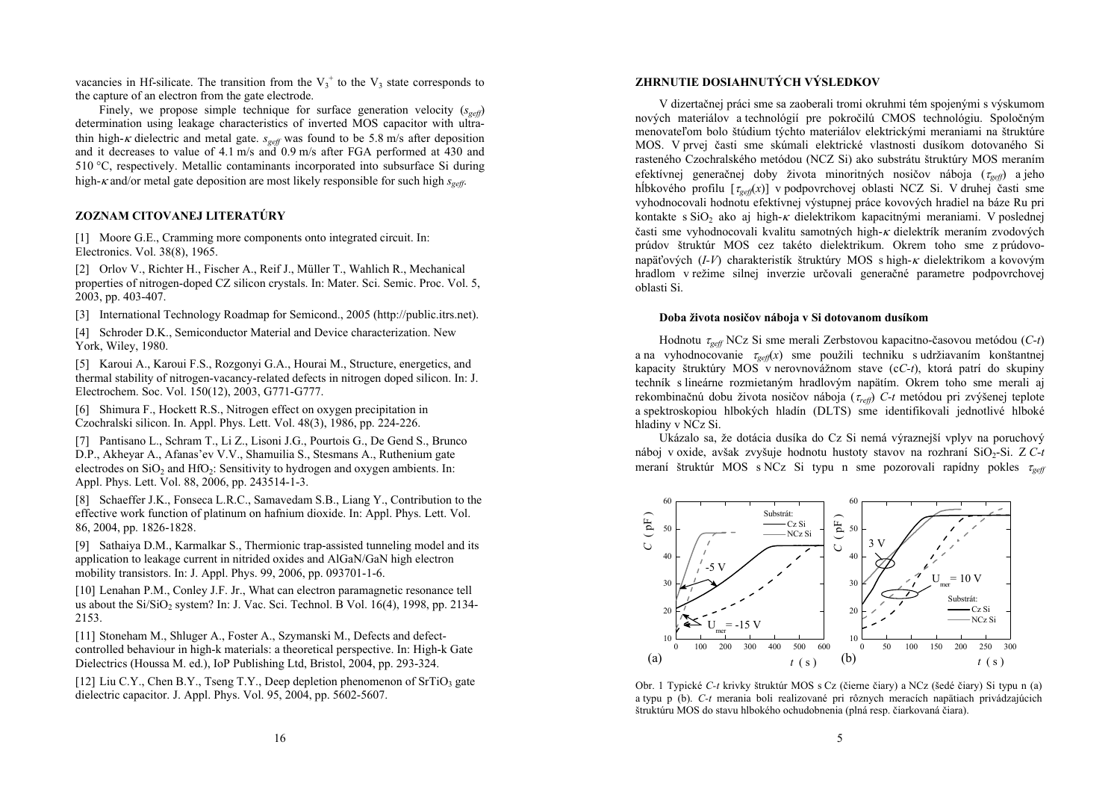vacancies in Hf-silicate. The transition from the  $V_3^+$  to the  $V_3$  state corresponds to the capture of an electron from the gate electrode.

Finely, we propose simple technique for surface generation velocity  $(s_{\text{ref}})$ determination using leakage characteristics of inverted MOS capacitor with ultrathin high- $\kappa$  dielectric and metal gate.  $s_{\text{geff}}$  was found to be 5.8 m/s after deposition and it decreases to value of 4.1 m/s and 0.9 m/s after FGA performed at 430 and 510 °C, respectively. Metallic contaminants incorporated into subsurface Si during high- $\kappa$  and/or metal gate deposition are most likely responsible for such high  $s_{\text{geff}}$ .

## **ZOZNAM CITOVANEJ LITERATÚRY**

[1] Moore G.E., Cramming more components onto integrated circuit. In: Electronics. Vol. 38(8), 1965.

[2] Orlov V., Richter H., Fischer A., Reif J., Müller T., Wahlich R., Mechanical properties of nitrogen-doped CZ silicon crystals. In: Mater. Sci. Semic. Proc. Vol. 5, 2003, pp. 403-407.

[3] International Technology Roadmap for Semicond., 2005 (http://public.itrs.net).

[4] Schroder D.K., Semiconductor Material and Device characterization. New York, Wiley, 1980.

[5] Karoui A., Karoui F.S., Rozgonyi G.A., Hourai M., Structure, energetics, and thermal stability of nitrogen-vacancy-related defects in nitrogen doped silicon. In: J. Electrochem. Soc. Vol. 150(12), 2003, G771-G777.

[6] Shimura F., Hockett R.S., Nitrogen effect on oxygen precipitation in Czochralski silicon. In. Appl. Phys. Lett. Vol. 48(3), 1986, pp. 224-226.

[7] Pantisano L., Schram T., Li Z., Lisoni J.G., Pourtois G., De Gend S., Brunco D.P., Akheyar A., Afanas'ev V.V., Shamuilia S., Stesmans A., Ruthenium gate electrodes on  $SiO<sub>2</sub>$  and  $HfO<sub>2</sub>$ : Sensitivity to hydrogen and oxygen ambients. In: Appl. Phys. Lett. Vol. 88, 2006, pp. 243514-1-3.

[8] Schaeffer J.K., Fonseca L.R.C., Samavedam S.B., Liang Y., Contribution to the effective work function of platinum on hafnium dioxide. In: Appl. Phys. Lett. Vol. 86, 2004, pp. 1826-1828.

[9] Sathaiya D.M., Karmalkar S., Thermionic trap-assisted tunneling model and its application to leakage current in nitrided oxides and AlGaN/GaN high electron mobility transistors. In: J. Appl. Phys. 99, 2006, pp. 093701-1-6.

[10] Lenahan P.M., Conley J.F. Jr., What can electron paramagnetic resonance tell us about the Si/SiO<sub>2</sub> system? In: J. Vac. Sci. Technol. B Vol.  $16(4)$ , 1998, pp. 2134-2153.

[11] Stoneham M., Shluger A., Foster A., Szymanski M., Defects and defectcontrolled behaviour in high-k materials: a theoretical perspective. In: High-k Gate Dielectrics (Houssa M. ed.), IoP Publishing Ltd, Bristol, 2004, pp. 293-324.

[12] Liu C.Y., Chen B.Y., Tseng T.Y., Deep depletion phenomenon of  $SrTiO<sub>3</sub>$  gate dielectric capacitor. J. Appl. Phys. Vol. 95, 2004, pp. 5602-5607.

## **ZHRNUTIE DOSIAHNUTÝCH VÝSLEDKOV**

V dizertačnej práci sme sa zaoberali tromi okruhmi tém spojenými s výskumom nových materiálov a technológií pre pokročilú CMOS technológiu. Spoločným menovateľom bolo štúdium týchto materiálov elektrickými meraniami na štruktúre MOS. V prvej časti sme skúmali elektrické vlastnosti dusíkom dotovaného Si rasteného Czochralského metódou (NCZ Si) ako substrátu štruktúry MOS meraním efektívnej generačnej doby života minoritných nosičov náboja ( <sup>τ</sup>*geff*) a jeho hĺbkového profilu [ $\tau_{\text{geff}}(x)$ ] v podpovrchovej oblasti NCZ Si. V druhej časti sme vyhodnocovali hodnotu efektívnej výstupnej práce kovových hradiel na báze Ru pri kontakte s SiO<sub>2</sub> ako aj high-*κ* dielektrikom kapacitnými meraniami. V poslednej časti sme vyhodnocovali kvalitu samotných high-<sup>κ</sup> dielektrík meraním zvodových prúdov štruktúr MOS cez takéto dielektrikum. Okrem toho sme z prúdovonapäťových (*I-V*) charakteristík štruktúry MOS s high-<sup>κ</sup> dielektrikom a kovovým hradlom v režime silnej inverzie určovali generačné parametre podpovrchovej oblasti Si.

### **Doba života nosičov náboja v Si dotovanom dusíkom**

Hodnotu <sup>τ</sup>*geff* NCz Si sme merali Zerbstovou kapacitno-časovou metódou (*C-t*) a na vyhodnocovanie <sup>τ</sup>*geff*(*x*) sme použili techniku s udržiavaním konštantnej kapacity štruktúry MOS v nerovnovážnom stave (c*C-t*), ktorá patrí do skupiny techník s lineárne rozmietaným hradlovým napätím. Okrem toho sme merali aj rekombinačnú dobu života nosičov náboja ( <sup>τ</sup>*reff*) *C-t* metódou pri zvýšenej teplote a spektroskopiou hlbokých hladín (DLTS) sme identifikovali jednotlivé hlboké hladiny v NCz Si.

Ukázalo sa, že dotácia dusíka do Cz Si nemá výraznejší vplyv na poruchový náboj v oxide, avšak zvyšuje hodnotu hustoty stavov na rozhraní SiO<sub>2</sub>-Si. Z C-t meraní štruktúr MOS s NCz Si typu n sme pozorovali rapídny pokles <sup>τ</sup>*geff*



Obr. 1 Typické *C-t* krivky štruktúr MOS s Cz (čierne čiary) a NCz (šedé čiary) Si typu n (a) a typu p (b). *C-t* merania boli realizované pri rôznych meracích napätiach privádzajúcich štruktúru MOS do stavu hlbokého ochudobnenia (plná resp. čiarkovaná čiara).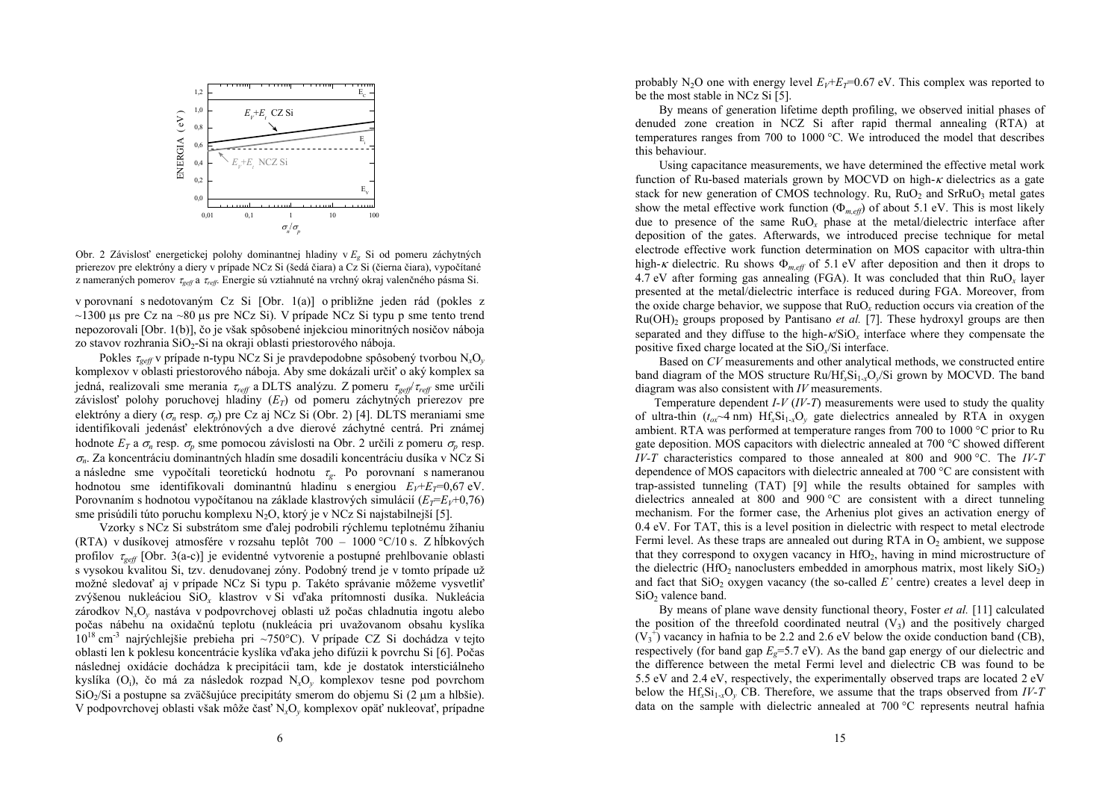

Obr. 2 Závislosť energetickej polohy dominantnej hladiny v *Eg* Si od pomeru záchytných prierezov pre elektróny a diery v prípade NCz Si (šedá čiara) a Cz Si (čierna čiara), vypočítané z nameraných pomerov <sup>τ</sup>*geff* a τ*reff*. Energie sú vztiahnuté na vrchný okraj valenčného pásma Si.

v porovnaní s nedotovaným Cz Si [Obr. 1(a)] o približne jeden rád (pokles z  $\sim$ 1300 µs pre Cz na  $\sim$ 80 µs pre NCz Si). V prípade NCz Si typu p sme tento trend nepozorovali [Obr. 1(b)], čo je však spôsobené injekciou minoritných nosičov náboja zo stavov rozhrania SiO<sub>2</sub>-Si na okraji oblasti priestorového náboja.

Pokles <sup>τ</sup>*geff* v prípade n-typu NCz Si je pravdepodobne spôsobený tvorbou N*x*O*<sup>y</sup>* komplexov v oblasti priestorového náboja. Aby sme dokázali určiť o aký komplex sa jedná, realizovali sme merania <sup>τ</sup>*reff* a DLTS analýzu. Z pomeru <sup>τ</sup>*geff*/<sup>τ</sup>*reff* sme určili závislosť polohy poruchovej hladiny  $(E_T)$  od pomeru záchytných prierezov pre elektróny a diery ( <sup>σ</sup>*n* resp. <sup>σ</sup>*p*) pre Cz aj NCz Si (Obr. 2) [4]. DLTS meraniami sme identifikovali jedenásť elektrónových a dve dierové záchytné centrá. Pri známej hodnote  $E_T$  a  $\sigma_n$  resp.  $\sigma_p$  sme pomocou závislosti na Obr. 2 určili z pomeru  $\sigma_p$  resp. <sup>σ</sup>*n*. Za koncentráciu dominantných hladín sme dosadili koncentráciu dusíka v NCz Si a následne sme vypočítali teoretickú hodnotu <sup>τ</sup>*g*. Po porovnaní s nameranou hodnotou sme identifikovali dominantnú hladinu s energiou  $E_V + E_T = 0.67$  eV. Porovnaním s hodnotou vypočítanou na základe klastrových simulácií ( $E_T = E_V + 0.76$ ) sme prisúdili túto poruchu komplexu  $N_2O$ , ktorý je v NCz Si najstabilnejší [5].

Vzorky s NCz Si substrátom sme ďalej podrobili rýchlemu teplotnému žíhaniu (RTA) v dusíkovej atmosfére v rozsahu teplôt 700 – 1000 °C/10 s. Z hĺbkových profilov <sup>τ</sup>*geff* [Obr. 3(a-c)] je evidentné vytvorenie a postupné prehlbovanie oblasti s vysokou kvalitou Si, tzv. denudovanej zóny. Podobný trend je v tomto prípade už možné sledovať aj v prípade NCz Si typu p. Takéto správanie môžeme vysvetliť zvýšenou nukleáciou SiO*x* klastrov v Si v ďaka prítomnosti dusíka. Nukleácia zárodkov N*x*O*y* nastáva v podpovrchovej oblasti už počas chladnutia ingotu alebo počas nábehu na oxidačnú teplotu (nukleácia pri uvažovanom obsahu kyslíka  $10^{18}$  cm<sup>-3</sup> najrýchlejšie prebieha pri ~750°C). V prípade CZ Si dochádza v tejto oblasti len k poklesu koncentrácie kyslíka v ďaka jeho difúzii k povrchu Si [6]. Počas následnej oxidácie dochádza k precipitácii tam, kde je dostatok intersticiálneho kyslíka (Oi), čo má za následok rozpad N*x*O*y* komplexov tesne pod povrchom SiO2/Si a postupne sa zväčšujúce precipitáty smerom do objemu Si (2 µm a hlbšie). V podpovrchovej oblasti však môže časť N*x*O*y* komplexov opäť nukleovať, prípadne

probably  $N_2O$  one with energy level  $E_V+E_T=0.67$  eV. This complex was reported to be the most stable in NCz Si [5].

By means of generation lifetime depth profiling, we observed initial phases of denuded zone creation in NCZ Si after rapid thermal annealing (RTA) at temperatures ranges from 700 to 1000 °C. We introduced the model that describes this behaviour.

Using capacitance measurements, we have determined the effective metal work function of Ru-based materials grown by MOCVD on high- $\kappa$  dielectrics as a gate stack for new generation of CMOS technology. Ru,  $RuO<sub>2</sub>$  and  $SrRuO<sub>3</sub>$  metal gates show the metal effective work function  $(\Phi_{m, eff})$  of about 5.1 eV. This is most likely due to presence of the same RuO*x* phase at the metal/dielectric interface after deposition of the gates. Afterwards, we introduced precise technique for metal electrode effective work function determination on MOS capacitor with ultra-thin high-*κ* dielectric. Ru shows  $\Phi_{m,eff}$  of 5.1 eV after deposition and then it drops to 4.7 eV after forming gas annealing (FGA). It was concluded that thin  $RuO_x$  layer presented at the metal/dielectric interface is reduced during FGA. Moreover, from the oxide charge behavior, we suppose that RuO*x* reduction occurs via creation of the  $Ru(OH)$ <sub>2</sub> groups proposed by Pantisano *et al.* [7]. These hydroxyl groups are then separated and they diffuse to the high- $\kappa$ /SiO<sub>x</sub> interface where they compensate the positive fixed charge located at the SiO*x*/Si interface.

Based on *CV* measurements and other analytical methods, we constructed entire band diagram of the MOS structure Ru/Hf*x*Si1-*x*O*y*/Si grown by MOCVD. The band diagram was also consistent with *IV* measurements.

Temperature dependent *I-V* (*IV-T*) measurements were used to study the quality of ultra-thin  $(t_{ox} \sim 4 \text{ nm})$  Hf<sub>x</sub>Si<sub>1-x</sub>O<sub>y</sub> gate dielectrics annealed by RTA in oxygen ambient. RTA was performed at temperature ranges from 700 to 1000 °C prior to Ru gate deposition. MOS capacitors with dielectric annealed at 700 °C showed different *IV-T* characteristics compared to those annealed at 800 and 900 °C. The *IV-T* dependence of MOS capacitors with dielectric annealed at 700 °C are consistent with trap-assisted tunneling (TAT) [9] while the results obtained for samples with dielectrics annealed at 800 and 900 °C are consistent with a direct tunneling mechanism. For the former case, the Arhenius plot gives an activation energy of 0.4 eV. For TAT, this is a level position in dielectric with respect to metal electrode Fermi level. As these traps are annealed out during RTA in  $O_2$  ambient, we suppose that they correspond to oxygen vacancy in  $HfO<sub>2</sub>$ , having in mind microstructure of the dielectric (HfO<sub>2</sub> nanoclusters embedded in amorphous matrix, most likely  $SiO<sub>2</sub>$ ) and fact that  $SiO<sub>2</sub>$  oxygen vacancy (the so-called  $E'$  centre) creates a level deep in SiO<sub>2</sub> valence band.

By means of plane wave density functional theory, Foster *et al.* [11] calculated the position of the threefold coordinated neutral  $(V_3)$  and the positively charged  $(V_3^+)$  vacancy in hafnia to be 2.2 and 2.6 eV below the oxide conduction band (CB), respectively (for band gap  $E<sub>g</sub>=5.7$  eV). As the band gap energy of our dielectric and the difference between the metal Fermi level and dielectric CB was found to be 5.5 eV and 2.4 eV, respectively, the experimentally observed traps are located 2 eV below the  $Hf_xSi_{1x}O_y$  CB. Therefore, we assume that the traps observed from *IV-T* data on the sample with dielectric annealed at 700 °C represents neutral hafnia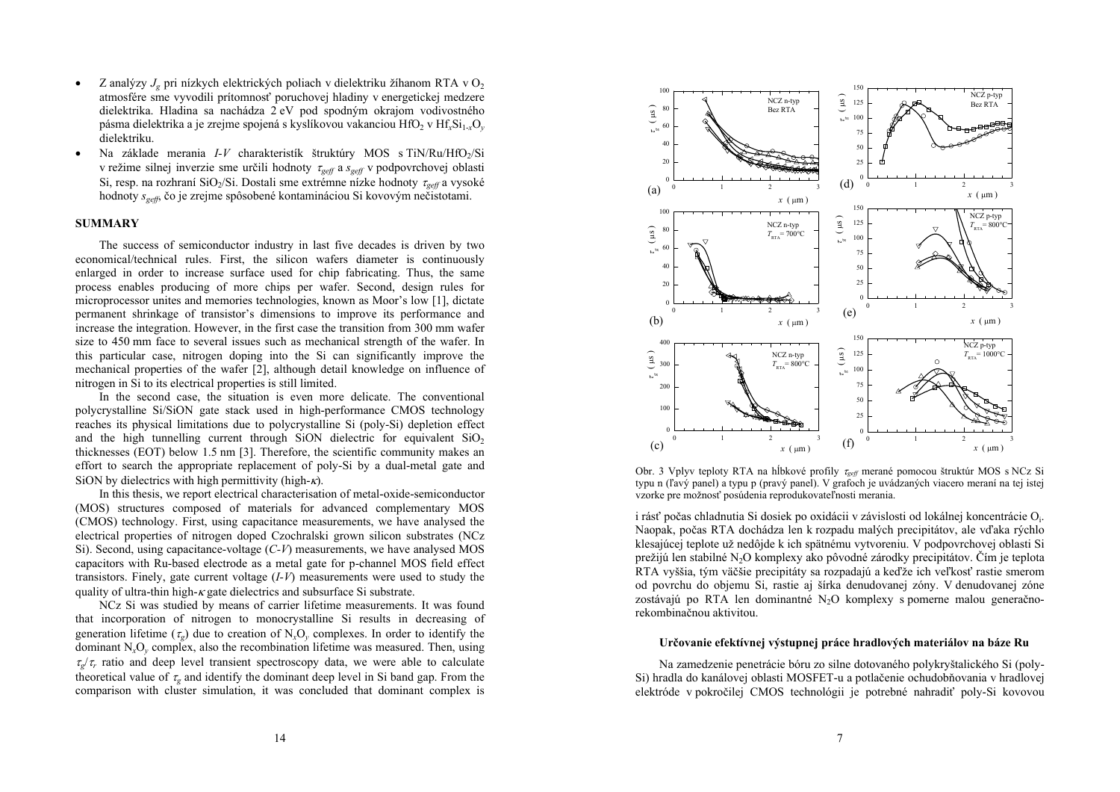- •• Z analýzy  $J_g$  pri nízkych elektrických poliach v dielektriku žíhanom RTA v O<sub>2</sub> atmosfére sme vyvodili prítomnosť poruchovej hladiny v energetickej medzere dielektrika. Hladina sa nachádza 2 eV pod spodným okrajom vodivostného <sup>p</sup>ásma dielektrika a je zrejme spojená s kyslíkovou vakanciou HfO2 v Hf*x*Si1-*x*O*<sup>y</sup>* dielektriku.
- •Na základe merania *I-V* charakteristík štruktúry MOS s TiN/Ru/HfO<sub>2</sub>/Si v režime silnej inverzie sme určili hodnoty <sup>τ</sup>*geff*<sup>a</sup>*sgeff* v podpovrchovej oblasti Si, resp. na rozhraní SiO<sub>2</sub>/Si. Dostali sme extrémne nízke hodnoty *τ<sub>geff</sub>* a vysoké hodnoty *sgeff*, čo je zrejme spôsobené kontamináciou Si kovovým nečistotami.

#### **SUMMARY**

The success of semiconductor industry in last five decades is driven by two economical/technical rules. First, the silicon wafers diameter is continuously enlarged in order to increase surface used for chip fabricating. Thus, the same process enables producing of more chips per wafer. Second, design rules for microprocessor unites and memories technologies, known as Moor's low [1], dictate permanent shrinkage of transistor's dimensions to improve its performance and increase the integration. However, in the first case the transition from 300 mm wafer size to 450 mm face to several issues such as mechanical strength of the wafer. In this particular case, nitrogen doping into the Si can significantly improve the mechanical properties of the wafer [2], although detail knowledge on influence of nitrogen in Si to its electrical properties is still limited.

In the second case, the situation is even more delicate. The conventional polycrystalline Si/SiON gate stack used in high-performance CMOS technology reaches its physical limitations due to polycrystalline Si (poly-Si) depletion effect and the high tunnelling current through SiON dielectric for equivalent  $SiO<sub>2</sub>$  thicknesses (EOT) below 1.5 nm [3]. Therefore, the scientific community makes an effort to search the appropriate replacement of poly-Si by a dual-metal gate and SiON by dielectrics with high permittivity (high- $\kappa$ ).

In this thesis, we report electrical characterisation of metal-oxide-semiconductor (MOS) structures composed of materials for advanced complementary MOS (CMOS) technology. First, using capacitance measurements, we have analysed the electrical properties of nitrogen doped Czochralski grown silicon substrates (NCz Si). Second, using capacitance-voltage (*C-V*) measurements, we have analysed MOS capacitors with Ru-based electrode as a metal gate for p-channel MOS field effect transistors. Finely, gate current voltage (*I-V*) measurements were used to study the quality of ultra-thin high- $\kappa$  gate dielectrics and subsurface Si substrate.

NCz Si was studied by means of carrier lifetime measurements. It was found that incorporation of nitrogen to monocrystalline Si results in decreasing of generation lifetime  $(\tau_g)$  due to creation of  $N_xO_y$  complexes. In order to identify the dominant N*x*O*y* complex, also the recombination lifetime was measured. Then, using  $\tau_{\sigma}/\tau_r$  ratio and deep level transient spectroscopy data, we were able to calculate theoretical value of  $\tau_g$  and identify the dominant deep level in Si band gap. From the comparison with cluster simulation, it was concluded that dominant complex is



Obr. 3 Vplyv teploty RTA na hĺbkové profily <sup>τ</sup>*geff* merané pomocou štruktúr MOS s NCz Si typu n (ľavý panel) a typu p (pravý panel). V grafoch je uvádzaných viacero meraní na tej istej vzorke pre možnosť posúdenia reprodukovateľnosti merania.

i rásť počas chladnutia Si dosiek po oxidácii v závislosti od lokálnej koncentrácie Oi. Naopak, počas RTA dochádza len k rozpadu malých precipitátov, ale v ďaka rýchlo klesajúcej teplote už nedôjde k ich spätnému vytvoreniu. V podpovrchovej oblasti Si prežijú len stabilné N2O komplexy ako pôvodné zárodky precipitátov. Čím je teplota RTA vyššia, tým väčšie precipitáty sa rozpadajú a ke ďže ich veľkosť rastie smerom od povrchu do objemu Si, rastie aj šírka denudovanej zóny. V denudovanej zóne zostávajú po RTA len dominantné N<sub>2</sub>O komplexy s pomerne malou generačnorekombinačnou aktivitou.

#### **Určovanie efektívnej výstupnej práce hradlových materiálov na báze Ru**

Na zamedzenie penetrácie bóru zo silne dotovaného polykryštalického Si (poly-Si) hradla do kanálovej oblasti MOSFET-u a potlačenie ochudobňovania v hradlovej elektróde v pokročilej CMOS technológii je potrebné nahradiť poly-Si kovovou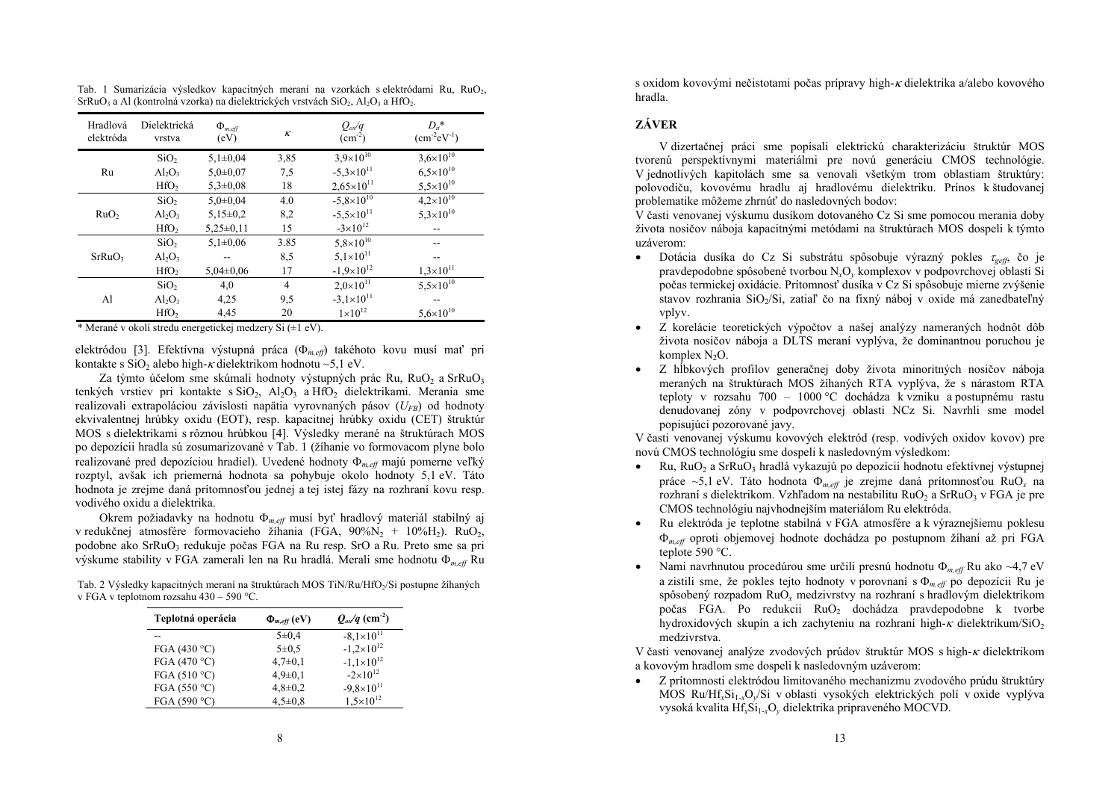| Hradlová<br>elektróda | Dielektrická<br>vrstva | $\Phi_{m,eff}$<br>(eV) | $\kappa$ | $Q_{ox}/q$<br>$\rm (cm^{-2})$ | $D_{ii}$ *<br>$(cm^{-2}eV^{-1})$ |
|-----------------------|------------------------|------------------------|----------|-------------------------------|----------------------------------|
|                       | SiO <sub>2</sub>       | $5,1\pm0.04$           | 3,85     | $3,9\times10^{10}$            | $3,6\times10^{10}$               |
| Ru                    | $Al_2O_3$              | $5,0+0,07$             | 7.5      | $-5,3\times10^{11}$           | $6,5\times10^{10}$               |
|                       | HfO <sub>2</sub>       | $5,3 \pm 0.08$         | 18       | $2,65\times10^{11}$           | $5,5\times10^{10}$               |
| RuO <sub>2</sub>      | SiO <sub>2</sub>       | $5.0 \pm 0.04$         | 4.0      | $-5.8 \times 10^{10}$         | $4.2 \times 10^{10}$             |
|                       | $Al_2O_3$              | $5,15\pm0.2$           | 8,2      | $-5.5\times10^{11}$           | $5,3\times10^{10}$               |
|                       | HfO <sub>2</sub>       | $5,25\pm0,11$          | 15       | $-3\times10^{12}$             |                                  |
|                       | SiO <sub>2</sub>       | $5,1\pm0.06$           | 3.85     | $5,8\times10^{10}$            |                                  |
| SrRuO <sub>3</sub>    | $Al_2O_3$              |                        | 8.5      | $5,1\times10^{11}$            |                                  |
|                       | HfO <sub>2</sub>       | $5,04\pm0,06$          | 17       | $-1.9\times10^{12}$           | $1,3\times10^{11}$               |
|                       | SiO <sub>2</sub>       | 4,0                    | 4        | $2.0\times10^{11}$            | $5,5\times10^{10}$               |
| Al                    | $Al_2O_3$              | 4,25                   | 9,5      | $-3.1\times10^{11}$           |                                  |
|                       | HfO <sub>2</sub>       | 4,45                   | 20       | $1 \times 10^{12}$            | $5,6\times10^{10}$               |

Tab. 1 Sumarizácia výsledkov kapacitných meraní na vzorkách s elektródami Ru, RuO2  $SFRuO_3$  a Al (kontrolná vzorka) na dielektrických vrstvách  $SiO_2$ , Al<sub>2</sub>O<sub>3</sub> a HfO<sub>2</sub>.

\* Merané v okolí stredu energetickej medzery Si (±1 eV).

elektródou [3]. Efektívna výstupná práca ( <sup>Φ</sup>*m,eff*) takéhoto kovu musí mať pr<sup>i</sup> kontakte s SiO<sub>2</sub> alebo high-*k* dielektrikom hodnotu ~5,1 eV.

Za týmto účelom sme skúmali hodnoty výstupných prác Ru, Ru $O_2$  a SrRu $O_3$ tenkých vrstiev pri kontakte s  $SiO_2$ ,  $Al_2O_3$  a  $HfO_2$  dielektrikami. Merania sme realizovali extrapoláciou závislosti napätia vyrovnaných pásov ( $U_{FB}$ ) od hodnoty ekvivalentnej hrúbky oxidu (EOT), resp. kapacitnej hrúbky oxidu (CET) štruktúr MOS s dielektrikami s rôznou hrúbkou [4]. Výsledky merané na štruktúrach MOS po depozícii hradla sú zosumarizované v Tab. 1 (žíhanie vo formovacom plyne bolo realizované pred depozíciou hradiel). Uvedené hodnoty <sup>Φ</sup>*m,eff* majú pomerne veľký rozptyl, avšak ich priemerná hodnota sa pohybuje okolo hodnoty 5,1 eV. Táto hodnota je zrejme daná prítomnosťou jednej a tej istej fázy na rozhraní kovu resp. vodivého oxidu a dielektrika.

Okrem požiadavky na hodnotu <sup>Φ</sup>*m,eff* musí byť hradlový materiál stabilný aj v redukčnej atmosfére formovacieho žíhania (FGA,  $90\%N_2 + 10\%M_2$ ). RuO<sub>2</sub>, podobne ako SrRuO<sub>3</sub> redukuje počas FGA na Ru resp. SrO a Ru. Preto sme sa pri výskume stability v FGA zamerali len na Ru hradlá. Merali sme hodnotu <sup>Φ</sup>*m,eff* Ru

Tab. 2 Výsledky kapacitných meraní na štruktúrach MOS TiN/Ru/HfO<sub>2</sub>/Si postupne žíhaných v FGA v teplotnom rozsahu 430 – 590 °C.

| Teplotná operácia      | $\Phi_{m,eff}$ (eV) | $Q_{\alpha\alpha}/q$ (cm <sup>-2</sup> ) |
|------------------------|---------------------|------------------------------------------|
|                        | $5 \pm 0.4$         | $-8.1 \times 10^{11}$                    |
| FGA (430 $^{\circ}$ C) | $5 \pm 0.5$         | $-1,2\times10^{12}$                      |
| FGA (470 $\degree$ C)  | $4,7\pm0,1$         | $-1.1\times10^{12}$                      |
| FGA (510 $\degree$ C)  | $4,9 \pm 0,1$       | $-2\times10^{12}$                        |
| FGA (550 °C)           | $4,8 \pm 0.2$       | $-9.8\times10^{11}$                      |
| FGA (590 °C)           | $4,5\pm0.8$         | $1.5 \times 10^{12}$                     |

s oxidom kovovými nečistotami počas prípravy high-κ dielektrika a/alebo kovového hradla.

# **ZÁVER**

V dizertačnej práci sme popísali elektrickú charakterizáciu štruktúr MOS tvorenú perspektívnymi materiálmi pre novú generáciu CMOS technológie. V jednotlivých kapitolách sme sa venovali všetkým trom oblastiam štruktúry: polovodiču, kovovému hradlu aj hradlovému dielektriku. Prínos k študovanej problematike môžeme zhrnúť do nasledovných bodov:

V časti venovanej výskumu dusíkom dotovaného Cz Si sme pomocou merania doby života nosičov náboja kapacitnými metódami na štruktúrach MOS dospeli k týmto uzáverom:

- • Dotácia dusíka do Cz Si substrátu spôsobuje výrazný pokles <sup>τ</sup>*geff*, čo je pravdepodobne spôsobené tvorbou N*x*O*y* komplexov v podpovrchovej oblasti Si počas termickej oxidácie. Prítomnosť dusíka v Cz Si spôsobuje mierne zvýšenie stavov rozhrania  $SiO<sub>2</sub>/Si$ , zatiaľ čo na fixný náboj v oxide má zanedbateľný vplyv.
- • Z korelácie teoretických výpočtov a našej analýzy nameraných hodnôt dôb života nosičov náboja a DLTS meraní vyplýva, že dominantnou poruchou je komplex  $N_2O$ .
- • Z hĺbkových profilov generačnej doby života minoritných nosičov náboja meraných na štruktúrach MOS žíhaných RTA vyplýva, že s nárastom RTA teploty v rozsahu 700 – 1000 °C dochádza k vzniku a postupnému rastu denudovanej zóny v podpovrchovej oblasti NCz Si. Navrhli sme model popisujúci pozorované javy.

V časti venovanej výskumu kovových elektród (resp. vodivých oxidov kovov) pre novú CMOS technológiu sme dospeli k nasledovným výsledkom:

- •Ru, RuO<sub>2</sub> a SrRuO<sub>3</sub> hradlá vykazujú po depozícii hodnotu efektívnej výstupnej práce ~5,1 eV. Táto hodnota <sup>Φ</sup>*m,eff* je zrejme daná prítomnosťou RuO*x* na rozhraní s dielektrikom. Vzhľadom na nestabilitu RuO<sub>2</sub> a SrRuO<sub>3</sub> v FGA je pre CMOS technológiu najvhodnejším materiálom Ru elektróda.
- • Ru elektróda je teplotne stabilná v FGA atmosfére a k výraznejšiemu poklesu <sup>Φ</sup>*m,eff* oproti objemovej hodnote dochádza po postupnom žíhaní až pri FGA teplote 590 °C.
- • Nami navrhnutou procedúrou sme určili presnú hodnotu <sup>Φ</sup>*m,eff* Ru ako ~4,7 eV a zistili sme, že pokles tejto hodnoty v porovnaní s <sup>Φ</sup>*m,eff* po depozícii Ru je spôsobený rozpadom RuO*x* medzivrstvy na rozhraní s hradlovým dielektrikom počas FGA. Po redukcii RuO<sub>2</sub> dochádza pravdepodobne k tvorbe hydroxidových skupín a ich zachyteniu na rozhraní high- $\kappa$  dielektrikum/SiO<sub>2</sub> medzivrstva.

V časti venovanej analýze zvodových prúdov štruktúr MOS s high-κ dielektrikom a kovovým hradlom sme dospeli k nasledovným uzáverom:

• Z prítomnosti elektródou limitovaného mechanizmu zvodového prúdu štruktúry MOS Ru/Hf<sub>x</sub>Si<sub>1-x</sub>O<sub>v</sub>/Si v oblasti vysokých elektrických polí v oxide vyplýva vysoká kvalita Hf*x*Si1-*x*O*y* dielektrika pripraveného MOCVD.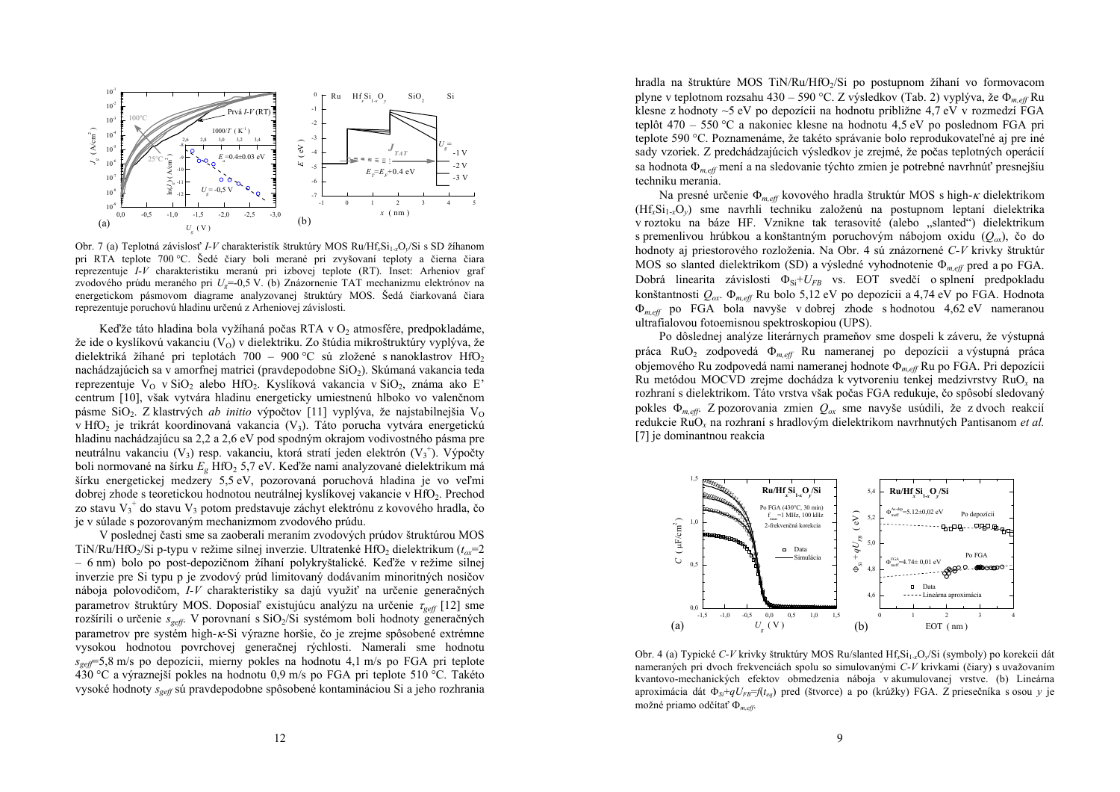

Obr. 7 (a) Teplotná závislosť *I-V* charakteristík štruktúry MOS Ru/Hf<sub>x</sub>Si<sub>1-x</sub>O<sub>y</sub>/Si s SD žíhanom pri RTA teplote 700 °C. Šedé čiary boli merané pri zvyšovaní teploty a čierna čiara reprezentuje *I-V* charakteristiku meranú pri izbovej teplote (RT). Inset: Arheniov graf zvodového prúdu meraného pri *Ug*=-0,5 V. (b) Znázornenie TAT mechanizmu elektrónov na energetickom pásmovom diagrame analyzovanej štruktúry MOS. Šedá čiarkovaná čiara reprezentuje poruchovú hladinu určenú z Arheniovej závislosti.

Keďže táto hladina bola vyžíhaná počas RTA v  $O_2$  atmosfére, predpokladáme, že ide o kyslíkovú vakanciu  $(V<sub>O</sub>)$  v dielektriku. Zo štúdia mikroštruktúry vyplýva, že dielektriká žíhané pri teplotách 700 – 900 °C sú zložené s nanoklastrov HfO<sub>2</sub> nachádzajúcich sa v amorfnej matrici (pravdepodobne SiO<sub>2</sub>). Skúmaná vakancia teda reprezentuje V<sub>O</sub> v SiO<sub>2</sub> alebo HfO<sub>2</sub>. Kyslíková vakancia v SiO<sub>2</sub>, známa ako E<sup>2</sup> centrum [10], však vytvára hladinu energeticky umiestnenú hlboko vo valenčnom pásme SiO<sub>2</sub>. Z klastrvých *ab initio* výpočtov [11] vyplýva, že najstabilnejšia V<sub>O</sub> v HfO<sub>2</sub> je trikrát koordinovaná vakancia  $(V_3)$ . Táto porucha vytvára energetickú hladinu nachádzajúcu sa 2,2 a 2,6 eV pod spodným okrajom vodivostného pásma pre neutrálnu vakanciu (V<sub>3</sub>) resp. vakanciu, ktorá stratí jeden elektrón (V<sub>3</sub><sup>+</sup>). Výpočty boli normované na šírku  $E<sub>g</sub>$  HfO<sub>2</sub> 5,7 eV. Keďže nami analyzované dielektrikum má šírku energetickej medzery 5,5 eV, pozorovaná poruchová hladina je vo veľmi dobrej zhode s teoretickou hodnotou neutrálnej kyslíkovej vakancie v HfO2. Prechod zo stavu  $V_3^*$  do stavu  $V_3$  potom predstavuje záchyt elektrónu z kovového hradla, čo je v súlade s pozorovaným mechanizmom zvodového prúdu.

V poslednej časti sme sa zaoberali meraním zvodových prúdov štruktúrou MOS TiN/Ru/HfO<sub>2</sub>/Si p-typu v režime silnej inverzie. Ultratenké HfO<sub>2</sub> dielektrikum ( $t_{\alpha}$ =2 – 6 nm) bolo po post-depozičnom žíhaní polykryštalické. Ke ďže v režime silnej inverzie pre Si typu p je zvodový prúd limitovaný dodávaním minoritných nosičov náboja polovodičom, *I-V* charakteristiky sa dajú využiť na určenie generačných parametrov štruktúry MOS. Doposiaľ existujúcu analýzu na určenie <sup>τ</sup>*geff* [12] sme rozšírili o určenie *s<sub>geff</sub>*. V porovnaní s SiO<sub>2</sub>/Si systémom boli hodnoty generačných parametrov pre systém high-<sup>κ</sup>-Si výrazne horšie, čo je zrejme spôsobené extrémne vysokou hodnotou povrchovej generačnej rýchlosti. Namerali sme hodnotu *sgeff*=5,8 m/s po depozícii, mierny pokles na hodnotu 4,1 m/s po FGA pri teplote 430 °C a výraznejší pokles na hodnotu 0,9 m/s po FGA pri teplote 510 °C. Takéto vysoké hodnoty *sgeff* sú pravdepodobne spôsobené kontamináciou Si a jeho rozhrania

hradla na štruktúre MOS TiN/Ru/HfO<sub>2</sub>/Si po postupnom žíhaní vo formovacom plyne v teplotnom rozsahu 430 – 590 °C. Z výsledkov (Tab. 2) vyplýva, že <sup>Φ</sup>*m,eff* Ru klesne z hodnoty ~5 eV po depozícii na hodnotu približne 4,7 eV v rozmedzí FGA teplôt 470 – 550 °C a nakoniec klesne na hodnotu 4,5 eV po poslednom FGA pri teplote 590 °C. Poznamenáme, že takéto správanie bolo reprodukovateľné aj pre iné sady vzoriek. Z predchádzajúcich výsledkov je zrejmé, že počas teplotných operácií sa hodnota <sup>Φ</sup>*m,eff* mení a na sledovanie týchto zmien je potrebné navrhnúť presnejšiu techniku merania.

Na presné určenie <sup>Φ</sup>*m,eff* kovového hradla štruktúr MOS s high-κ dielektrikom (Hf*x*Si1-*x*O*y*) sme navrhli techniku založenú na postupnom leptaní dielektrika v roztoku na báze HF. Vznikne tak terasovité (alebo "slanted") dielektrikum s premenlivou hrúbkou a konštantným poruchovým nábojom oxidu ( *Qox*), čo do hodnoty aj priestorového rozloženia. Na Obr. 4 sú znázornené *C-V* krivky štruktúr MOS so slanted dielektrikom (SD) a výsledné vyhodnotenie <sup>Φ</sup>*m,eff* pred a po FGA. Dobrá linearita závislosti  $\Phi_{Si}+U_{FB}$  vs. EOT svedčí o splnení predpokladu konštantnosti *Qox*. Φ*m,eff* Ru bolo 5,12 eV po depozícii a 4,74 eV po FGA. Hodnota <sup>Φ</sup>*m,eff* po FGA bola navyše v dobrej zhode s hodnotou 4,62 eV nameranou ultrafialovou fotoemisnou spektroskopiou (UPS).

Po dôslednej analýze literárnych prameňov sme dospeli k záveru, že výstupná práca RuO<sub>2</sub> zodpovedá  $\Phi_{m,eff}$  Ru nameranej po depozícii a výstupná práca objemového Ru zodpovedá nami nameranej hodnote <sup>Φ</sup>*m,eff* Ru po FGA. Pri depozícii Ru metódou MOCVD zrejme dochádza k vytvoreniu tenkej medzivrstvy RuO*x* na rozhraní s dielektrikom. Táto vrstva však počas FGA redukuje, čo spôsobí sledovaný pokles <sup>Φ</sup>*m,eff*. Z pozorovania zmien *Qox* sme navyše usúdili, že z dvoch reakcií redukcie RuO*x* na rozhraní s hradlovým dielektrikom navrhnutých Pantisanom *et al.* [7] je dominantnou reakcia



Obr. 4 (a) Typické *C-V* krivky štruktúry MOS Ru/slanted Hf*x*Si1-*x*O*y*/Si (symboly) po korekcii dát nameraných pri dvoch frekvenciách spolu so simulovanými *C-V* krivkami (čiary) s uvažovaním kvantovo-mechanických efektov obmedzenia náboja v akumulovanej vrstve. (b) Lineárna aproximácia dát Φ*Si*+*qUFB*=*f*(*teq*) pred (štvorce) a po (krúžky) FGA. Z priesečníka s osou *y* je možné priamo odčítať <sup>Φ</sup>*m,eff*.